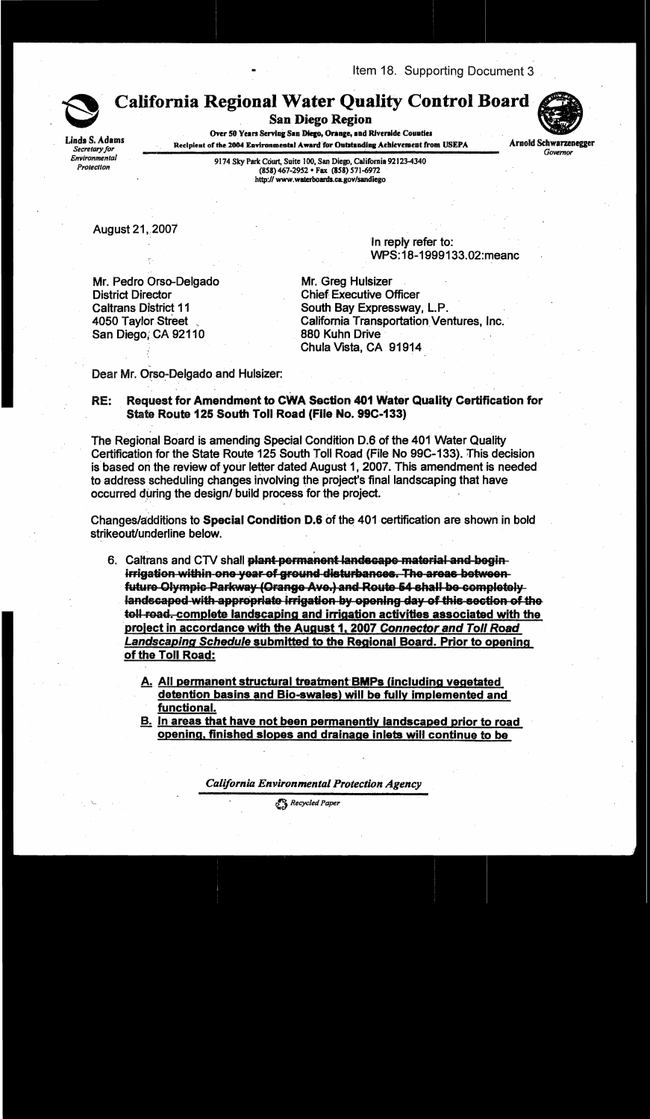Item 18. Supporting Document 3



Linda S. Adams

Secretary for

Environmental

Protection

**California Regional Water Quality Control Board** 

**San Diego Region** 

Over 50 Years Serving San Diego, Orange, and Riverside Counties Recipient of the 2004 Environmental Award for Outstanding Achievement from USEPA



**Arnold Schwarzenegger** Governor

9174 Sky Park Court, Suite 100, San Diego, California 92123-4340 (858) 467-2952 • Fax (858) 571-6972 http://www.waterboards.ca.gov/sandiego

August 21, 2007

In reply refer to: WPS:18-1999133.02:meanc

Mr. Pedro Orso-Delgado **District Director Caltrans District 11** 4050 Taylor Street San Diego, CA 92110

Mr. Greg Hulsizer **Chief Executive Officer** South Bay Expressway, L.P. California Transportation Ventures, Inc. 880 Kuhn Drive Chula Vista, CA 91914

Dear Mr. Orso-Delgado and Hulsizer:

## Request for Amendment to CWA Section 401 Water Quality Certification for RE: State Route 125 South Toll Road (File No. 99C-133)

The Regional Board is amending Special Condition D.6 of the 401 Water Quality Certification for the State Route 125 South Toll Road (File No 99C-133). This decision is based on the review of your letter dated August 1, 2007. This amendment is needed to address scheduling changes involving the project's final landscaping that have occurred during the design/ build process for the project.

Changes/additions to Special Condition D.6 of the 401 certification are shown in bold strikeout/underline below.

6. Caltrans and CTV shall plant permanent landscape material and beginirrigation within one year of ground disturbances. The areas betweenfuture Olympic Parkway (Orange Ave.) and Route 54 shall be completely landscaped with appropriate irrigation by opening day of this section of the toll road, complete landscaping and irrigation activities associated with the project in accordance with the August 1, 2007 Connector and Toll Road **Landscaping Schedule submitted to the Regional Board. Prior to opening** of the Toll Road:

A. All permanent structural treatment BMPs (including vegetated detention basins and Bio-swales) will be fully implemented and functional.

**B.** In areas that have not been permanently landscaped prior to road opening, finished slopes and drainage inlets will continue to be

**California Environmental Protection Agency** 

Recycled Paper